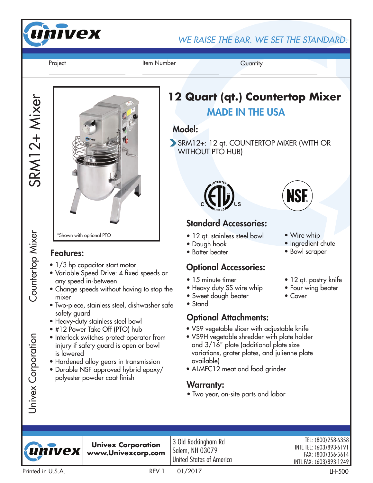

WE RAISE THE BAR. WE SET THE STANDARD.

Project **Item Number** Project Quantity

SRM12+ Mixer

SRM12+ Mixer

Countertop Mixer

Countertop<br>Mixer

Univex Corporation

Univex Corporation

\*Shown with optional PTO

#### Features:

- 1/3 hp capacitor start motor
- Variable Speed Drive: 4 fixed speeds or any speed in-between
- Change speeds without having to stop the mixer
- Two-piece, stainless steel, dishwasher safe safety guard
- Heavy-duty stainless steel bowl
- #12 Power Take Off (PTO) hub
- Interlock switches protect operator from injury if safety guard is open or bowl is lowered
- Hardened alloy gears in transmission
- Durable NSF approved hybrid epoxy/ polyester powder coat finish

# MADE IN THE USA **12 Quart (qt.) Countertop Mixer**

### Model:

SRM12+: 12 qt. COUNTERTOP MIXER (WITH OR WITHOUT PTO HUB)



# Standard Accessories:

- 12 qt. stainless steel bowl
- Dough hook
- Batter beater

# Optional Accessories:

- 15 minute timer
- Heavy duty SS wire whip
- Sweet dough beater
- Stand

## Optional Attachments:

- VS9 vegetable slicer with adjustable knife
- VS9H vegetable shredder with plate holder and 3/16" plate (additional plate size variations, grater plates, and julienne plate available)
- ALMFC12 meat and food grinder

### Warranty:

• Two year, on-site parts and labor



**Univex Corporation www.Univexcorp.com**

3 Old Rockingham Rd Salem, NH 03079 United States of America

TEL: (800)258-6358 INTL TEL: (603)893-6191 FAX: (800)356-5614 INTL FAX: (603)893-1249



• Wire whip

• Cover

• Ingredient chute

• 12 qt. pastry knife • Four wing beater

• Bowl scraper